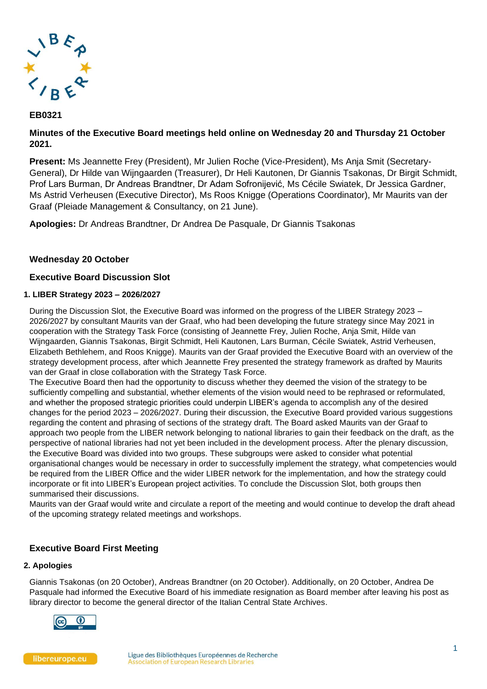

# **EB0321**

# **Minutes of the Executive Board meetings held online on Wednesday 20 and Thursday 21 October 2021.**

**Present:** Ms Jeannette Frey (President), Mr Julien Roche (Vice-President), Ms Anja Smit (Secretary-General), Dr Hilde van Wijngaarden (Treasurer), Dr Heli Kautonen, Dr Giannis Tsakonas, Dr Birgit Schmidt, Prof Lars Burman, Dr Andreas Brandtner, Dr Adam Sofronijević, Ms Cécile Swiatek, Dr Jessica Gardner, Ms Astrid Verheusen (Executive Director), Ms Roos Knigge (Operations Coordinator), Mr Maurits van der Graaf (Pleiade Management & Consultancy, on 21 June).

**Apologies:** Dr Andreas Brandtner, Dr Andrea De Pasquale, Dr Giannis Tsakonas

# **Wednesday 20 October**

# **Executive Board Discussion Slot**

## **1. LIBER Strategy 2023 – 2026/2027**

During the Discussion Slot, the Executive Board was informed on the progress of the LIBER Strategy 2023 – 2026/2027 by consultant Maurits van der Graaf, who had been developing the future strategy since May 2021 in cooperation with the Strategy Task Force (consisting of Jeannette Frey, Julien Roche, Anja Smit, Hilde van Wijngaarden, Giannis Tsakonas, Birgit Schmidt, Heli Kautonen, Lars Burman, Cécile Swiatek, Astrid Verheusen, Elizabeth Bethlehem, and Roos Knigge). Maurits van der Graaf provided the Executive Board with an overview of the strategy development process, after which Jeannette Frey presented the strategy framework as drafted by Maurits van der Graaf in close collaboration with the Strategy Task Force.

The Executive Board then had the opportunity to discuss whether they deemed the vision of the strategy to be sufficiently compelling and substantial, whether elements of the vision would need to be rephrased or reformulated, and whether the proposed strategic priorities could underpin LIBER's agenda to accomplish any of the desired changes for the period 2023 – 2026/2027. During their discussion, the Executive Board provided various suggestions regarding the content and phrasing of sections of the strategy draft. The Board asked Maurits van der Graaf to approach two people from the LIBER network belonging to national libraries to gain their feedback on the draft, as the perspective of national libraries had not yet been included in the development process. After the plenary discussion, the Executive Board was divided into two groups. These subgroups were asked to consider what potential organisational changes would be necessary in order to successfully implement the strategy, what competencies would be required from the LIBER Office and the wider LIBER network for the implementation, and how the strategy could incorporate or fit into LIBER's European project activities. To conclude the Discussion Slot, both groups then summarised their discussions.

Maurits van der Graaf would write and circulate a report of the meeting and would continue to develop the draft ahead of the upcoming strategy related meetings and workshops.

# **Executive Board First Meeting**

### **2. Apologies**

Giannis Tsakonas (on 20 October), Andreas Brandtner (on 20 October). Additionally, on 20 October, Andrea De Pasquale had informed the Executive Board of his immediate resignation as Board member after leaving his post as library director to become the general director of the Italian Central State Archives.

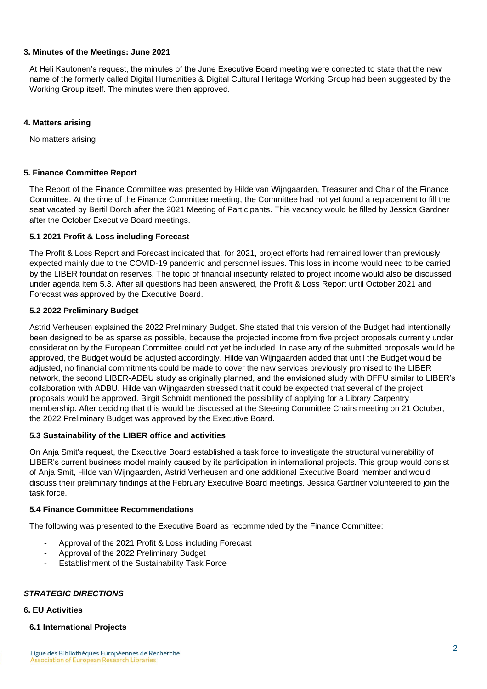### **3. Minutes of the Meetings: June 2021**

At Heli Kautonen's request, the minutes of the June Executive Board meeting were corrected to state that the new name of the formerly called Digital Humanities & Digital Cultural Heritage Working Group had been suggested by the Working Group itself. The minutes were then approved.

### **4. Matters arising**

No matters arising

### **5. Finance Committee Report**

The Report of the Finance Committee was presented by Hilde van Wijngaarden, Treasurer and Chair of the Finance Committee. At the time of the Finance Committee meeting, the Committee had not yet found a replacement to fill the seat vacated by Bertil Dorch after the 2021 Meeting of Participants. This vacancy would be filled by Jessica Gardner after the October Executive Board meetings.

### **5.1 2021 Profit & Loss including Forecast**

The Profit & Loss Report and Forecast indicated that, for 2021, project efforts had remained lower than previously expected mainly due to the COVID-19 pandemic and personnel issues. This loss in income would need to be carried by the LIBER foundation reserves. The topic of financial insecurity related to project income would also be discussed under agenda item 5.3. After all questions had been answered, the Profit & Loss Report until October 2021 and Forecast was approved by the Executive Board.

### **5.2 2022 Preliminary Budget**

Astrid Verheusen explained the 2022 Preliminary Budget. She stated that this version of the Budget had intentionally been designed to be as sparse as possible, because the projected income from five project proposals currently under consideration by the European Committee could not yet be included. In case any of the submitted proposals would be approved, the Budget would be adjusted accordingly. Hilde van Wijngaarden added that until the Budget would be adjusted, no financial commitments could be made to cover the new services previously promised to the LIBER network, the second LIBER-ADBU study as originally planned, and the envisioned study with DFFU similar to LIBER's collaboration with ADBU. Hilde van Wijngaarden stressed that it could be expected that several of the project proposals would be approved. Birgit Schmidt mentioned the possibility of applying for a Library Carpentry membership. After deciding that this would be discussed at the Steering Committee Chairs meeting on 21 October, the 2022 Preliminary Budget was approved by the Executive Board.

## **5.3 Sustainability of the LIBER office and activities**

On Anja Smit's request, the Executive Board established a task force to investigate the structural vulnerability of LIBER's current business model mainly caused by its participation in international projects. This group would consist of Anja Smit, Hilde van Wijngaarden, Astrid Verheusen and one additional Executive Board member and would discuss their preliminary findings at the February Executive Board meetings. Jessica Gardner volunteered to join the task force.

### **5.4 Finance Committee Recommendations**

The following was presented to the Executive Board as recommended by the Finance Committee:

- Approval of the 2021 Profit & Loss including Forecast
- Approval of the 2022 Preliminary Budget
- Establishment of the Sustainability Task Force

### *STRATEGIC DIRECTIONS*

#### **6. EU Activities**

#### **6.1 International Projects**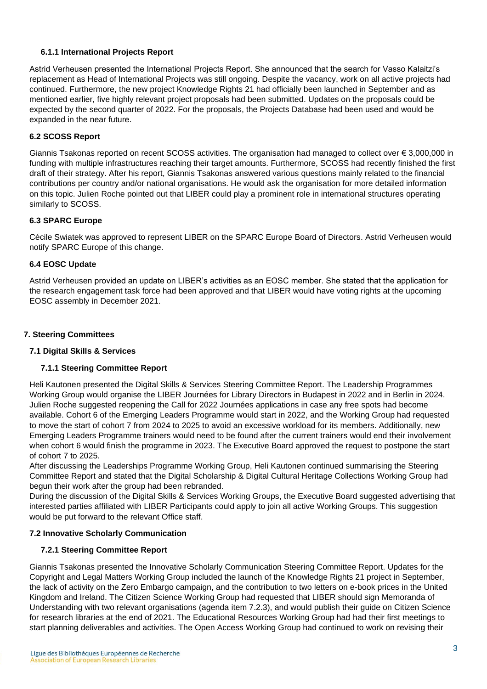## **6.1.1 International Projects Report**

Astrid Verheusen presented the International Projects Report. She announced that the search for Vasso Kalaitzi's replacement as Head of International Projects was still ongoing. Despite the vacancy, work on all active projects had continued. Furthermore, the new project Knowledge Rights 21 had officially been launched in September and as mentioned earlier, five highly relevant project proposals had been submitted. Updates on the proposals could be expected by the second quarter of 2022. For the proposals, the Projects Database had been used and would be expanded in the near future.

## **6.2 SCOSS Report**

Giannis Tsakonas reported on recent SCOSS activities. The organisation had managed to collect over € 3,000,000 in funding with multiple infrastructures reaching their target amounts. Furthermore, SCOSS had recently finished the first draft of their strategy. After his report, Giannis Tsakonas answered various questions mainly related to the financial contributions per country and/or national organisations. He would ask the organisation for more detailed information on this topic. Julien Roche pointed out that LIBER could play a prominent role in international structures operating similarly to SCOSS.

## **6.3 SPARC Europe**

Cécile Swiatek was approved to represent LIBER on the SPARC Europe Board of Directors. Astrid Verheusen would notify SPARC Europe of this change.

### **6.4 EOSC Update**

Astrid Verheusen provided an update on LIBER's activities as an EOSC member. She stated that the application for the research engagement task force had been approved and that LIBER would have voting rights at the upcoming EOSC assembly in December 2021.

## **7. Steering Committees**

### **7.1 Digital Skills & Services**

### **7.1.1 Steering Committee Report**

Heli Kautonen presented the Digital Skills & Services Steering Committee Report. The Leadership Programmes Working Group would organise the LIBER Journées for Library Directors in Budapest in 2022 and in Berlin in 2024. Julien Roche suggested reopening the Call for 2022 Journées applications in case any free spots had become available. Cohort 6 of the Emerging Leaders Programme would start in 2022, and the Working Group had requested to move the start of cohort 7 from 2024 to 2025 to avoid an excessive workload for its members. Additionally, new Emerging Leaders Programme trainers would need to be found after the current trainers would end their involvement when cohort 6 would finish the programme in 2023. The Executive Board approved the request to postpone the start of cohort 7 to 2025.

After discussing the Leaderships Programme Working Group, Heli Kautonen continued summarising the Steering Committee Report and stated that the Digital Scholarship & Digital Cultural Heritage Collections Working Group had begun their work after the group had been rebranded.

During the discussion of the Digital Skills & Services Working Groups, the Executive Board suggested advertising that interested parties affiliated with LIBER Participants could apply to join all active Working Groups. This suggestion would be put forward to the relevant Office staff.

# **7.2 Innovative Scholarly Communication**

# **7.2.1 Steering Committee Report**

Giannis Tsakonas presented the Innovative Scholarly Communication Steering Committee Report. Updates for the Copyright and Legal Matters Working Group included the launch of the Knowledge Rights 21 project in September, the lack of activity on the Zero Embargo campaign, and the contribution to two letters on e-book prices in the United Kingdom and Ireland. The Citizen Science Working Group had requested that LIBER should sign Memoranda of Understanding with two relevant organisations (agenda item 7.2.3), and would publish their guide on Citizen Science for research libraries at the end of 2021. The Educational Resources Working Group had had their first meetings to start planning deliverables and activities. The Open Access Working Group had continued to work on revising their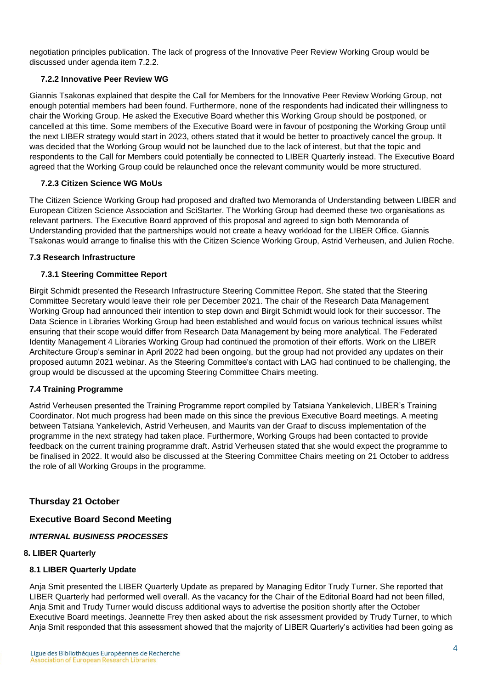negotiation principles publication. The lack of progress of the Innovative Peer Review Working Group would be discussed under agenda item 7.2.2.

## **7.2.2 Innovative Peer Review WG**

Giannis Tsakonas explained that despite the Call for Members for the Innovative Peer Review Working Group, not enough potential members had been found. Furthermore, none of the respondents had indicated their willingness to chair the Working Group. He asked the Executive Board whether this Working Group should be postponed, or cancelled at this time. Some members of the Executive Board were in favour of postponing the Working Group until the next LIBER strategy would start in 2023, others stated that it would be better to proactively cancel the group. It was decided that the Working Group would not be launched due to the lack of interest, but that the topic and respondents to the Call for Members could potentially be connected to LIBER Quarterly instead. The Executive Board agreed that the Working Group could be relaunched once the relevant community would be more structured.

## **7.2.3 Citizen Science WG MoUs**

The Citizen Science Working Group had proposed and drafted two Memoranda of Understanding between LIBER and European Citizen Science Association and SciStarter. The Working Group had deemed these two organisations as relevant partners. The Executive Board approved of this proposal and agreed to sign both Memoranda of Understanding provided that the partnerships would not create a heavy workload for the LIBER Office. Giannis Tsakonas would arrange to finalise this with the Citizen Science Working Group, Astrid Verheusen, and Julien Roche.

### **7.3 Research Infrastructure**

## **7.3.1 Steering Committee Report**

Birgit Schmidt presented the Research Infrastructure Steering Committee Report. She stated that the Steering Committee Secretary would leave their role per December 2021. The chair of the Research Data Management Working Group had announced their intention to step down and Birgit Schmidt would look for their successor. The Data Science in Libraries Working Group had been established and would focus on various technical issues whilst ensuring that their scope would differ from Research Data Management by being more analytical. The Federated Identity Management 4 Libraries Working Group had continued the promotion of their efforts. Work on the LIBER Architecture Group's seminar in April 2022 had been ongoing, but the group had not provided any updates on their proposed autumn 2021 webinar. As the Steering Committee's contact with LAG had continued to be challenging, the group would be discussed at the upcoming Steering Committee Chairs meeting.

### **7.4 Training Programme**

Astrid Verheusen presented the Training Programme report compiled by Tatsiana Yankelevich, LIBER's Training Coordinator. Not much progress had been made on this since the previous Executive Board meetings. A meeting between Tatsiana Yankelevich, Astrid Verheusen, and Maurits van der Graaf to discuss implementation of the programme in the next strategy had taken place. Furthermore, Working Groups had been contacted to provide feedback on the current training programme draft. Astrid Verheusen stated that she would expect the programme to be finalised in 2022. It would also be discussed at the Steering Committee Chairs meeting on 21 October to address the role of all Working Groups in the programme.

# **Thursday 21 October**

### **Executive Board Second Meeting**

*INTERNAL BUSINESS PROCESSES*

### **8. LIBER Quarterly**

### **8.1 LIBER Quarterly Update**

Anja Smit presented the LIBER Quarterly Update as prepared by Managing Editor Trudy Turner. She reported that LIBER Quarterly had performed well overall. As the vacancy for the Chair of the Editorial Board had not been filled, Anja Smit and Trudy Turner would discuss additional ways to advertise the position shortly after the October Executive Board meetings. Jeannette Frey then asked about the risk assessment provided by Trudy Turner, to which Anja Smit responded that this assessment showed that the majority of LIBER Quarterly's activities had been going as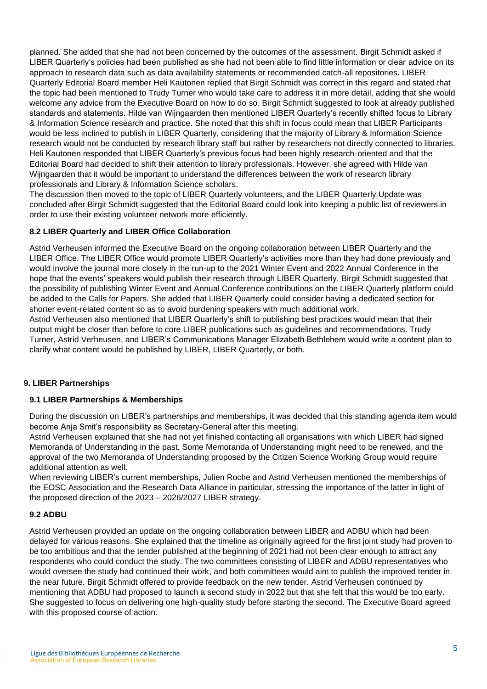planned. She added that she had not been concerned by the outcomes of the assessment. Birgit Schmidt asked if LIBER Quarterly's policies had been published as she had not been able to find little information or clear advice on its approach to research data such as data availability statements or recommended catch-all repositories. LIBER Quarterly Editorial Board member Heli Kautonen replied that Birgit Schmidt was correct in this regard and stated that the topic had been mentioned to Trudy Turner who would take care to address it in more detail, adding that she would welcome any advice from the Executive Board on how to do so. Birgit Schmidt suggested to look at already published standards and statements. Hilde van Wijngaarden then mentioned LIBER Quarterly's recently shifted focus to Library & Information Science research and practice. She noted that this shift in focus could mean that LIBER Participants would be less inclined to publish in LIBER Quarterly, considering that the majority of Library & Information Science research would not be conducted by research library staff but rather by researchers not directly connected to libraries. Heli Kautonen responded that LIBER Quarterly's previous focus had been highly research-oriented and that the Editorial Board had decided to shift their attention to library professionals. However, she agreed with Hilde van Wijngaarden that it would be important to understand the differences between the work of research library professionals and Library & Information Science scholars.

The discussion then moved to the topic of LIBER Quarterly volunteers, and the LIBER Quarterly Update was concluded after Birgit Schmidt suggested that the Editorial Board could look into keeping a public list of reviewers in order to use their existing volunteer network more efficiently.

## **8.2 LIBER Quarterly and LIBER Office Collaboration**

Astrid Verheusen informed the Executive Board on the ongoing collaboration between LIBER Quarterly and the LIBER Office. The LIBER Office would promote LIBER Quarterly's activities more than they had done previously and would involve the journal more closely in the run-up to the 2021 Winter Event and 2022 Annual Conference in the hope that the events' speakers would publish their research through LIBER Quarterly. Birgit Schmidt suggested that the possibility of publishing Winter Event and Annual Conference contributions on the LIBER Quarterly platform could be added to the Calls for Papers. She added that LIBER Quarterly could consider having a dedicated section for shorter event-related content so as to avoid burdening speakers with much additional work.

Astrid Verheusen also mentioned that LIBER Quarterly's shift to publishing best practices would mean that their output might be closer than before to core LIBER publications such as guidelines and recommendations. Trudy Turner, Astrid Verheusen, and LIBER's Communications Manager Elizabeth Bethlehem would write a content plan to clarify what content would be published by LIBER, LIBER Quarterly, or both.

### **9. LIBER Partnerships**

### **9.1 LIBER Partnerships & Memberships**

During the discussion on LIBER's partnerships and memberships, it was decided that this standing agenda item would become Anja Smit's responsibility as Secretary-General after this meeting.

Astrid Verheusen explained that she had not yet finished contacting all organisations with which LIBER had signed Memoranda of Understanding in the past. Some Memoranda of Understanding might need to be renewed, and the approval of the two Memoranda of Understanding proposed by the Citizen Science Working Group would require additional attention as well.

When reviewing LIBER's current memberships, Julien Roche and Astrid Verheusen mentioned the memberships of the EOSC Association and the Research Data Alliance in particular, stressing the importance of the latter in light of the proposed direction of the 2023 – 2026/2027 LIBER strategy.

### **9.2 ADBU**

Astrid Verheusen provided an update on the ongoing collaboration between LIBER and ADBU which had been delayed for various reasons. She explained that the timeline as originally agreed for the first joint study had proven to be too ambitious and that the tender published at the beginning of 2021 had not been clear enough to attract any respondents who could conduct the study. The two committees consisting of LIBER and ADBU representatives who would oversee the study had continued their work, and both committees would aim to publish the improved tender in the near future. Birgit Schmidt offered to provide feedback on the new tender. Astrid Verheusen continued by mentioning that ADBU had proposed to launch a second study in 2022 but that she felt that this would be too early. She suggested to focus on delivering one high-quality study before starting the second. The Executive Board agreed with this proposed course of action.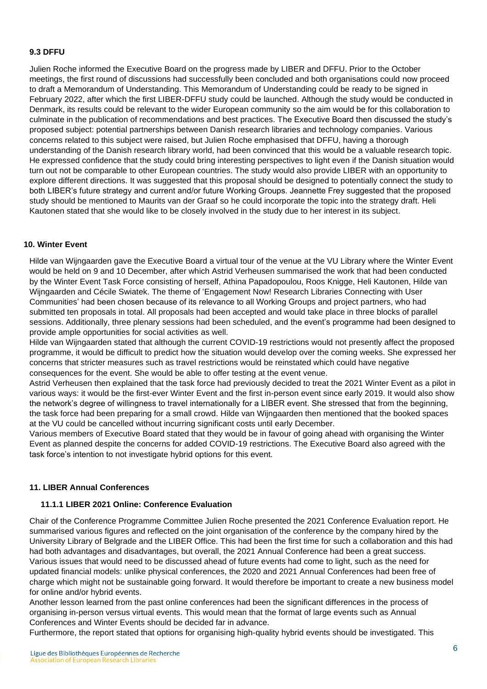## **9.3 DFFU**

Julien Roche informed the Executive Board on the progress made by LIBER and DFFU. Prior to the October meetings, the first round of discussions had successfully been concluded and both organisations could now proceed to draft a Memorandum of Understanding. This Memorandum of Understanding could be ready to be signed in February 2022, after which the first LIBER-DFFU study could be launched. Although the study would be conducted in Denmark, its results could be relevant to the wider European community so the aim would be for this collaboration to culminate in the publication of recommendations and best practices. The Executive Board then discussed the study's proposed subject: potential partnerships between Danish research libraries and technology companies. Various concerns related to this subject were raised, but Julien Roche emphasised that DFFU, having a thorough understanding of the Danish research library world, had been convinced that this would be a valuable research topic. He expressed confidence that the study could bring interesting perspectives to light even if the Danish situation would turn out not be comparable to other European countries. The study would also provide LIBER with an opportunity to explore different directions. It was suggested that this proposal should be designed to potentially connect the study to both LIBER's future strategy and current and/or future Working Groups. Jeannette Frey suggested that the proposed study should be mentioned to Maurits van der Graaf so he could incorporate the topic into the strategy draft. Heli Kautonen stated that she would like to be closely involved in the study due to her interest in its subject.

#### **10. Winter Event**

Hilde van Wijngaarden gave the Executive Board a virtual tour of the venue at the VU Library where the Winter Event would be held on 9 and 10 December, after which Astrid Verheusen summarised the work that had been conducted by the Winter Event Task Force consisting of herself, Athina Papadopoulou, Roos Knigge, Heli Kautonen, Hilde van Wijngaarden and Cécile Swiatek. The theme of 'Engagement Now! Research Libraries Connecting with User Communities' had been chosen because of its relevance to all Working Groups and project partners, who had submitted ten proposals in total. All proposals had been accepted and would take place in three blocks of parallel sessions. Additionally, three plenary sessions had been scheduled, and the event's programme had been designed to provide ample opportunities for social activities as well.

Hilde van Wijngaarden stated that although the current COVID-19 restrictions would not presently affect the proposed programme, it would be difficult to predict how the situation would develop over the coming weeks. She expressed her concerns that stricter measures such as travel restrictions would be reinstated which could have negative consequences for the event. She would be able to offer testing at the event venue.

Astrid Verheusen then explained that the task force had previously decided to treat the 2021 Winter Event as a pilot in various ways: it would be the first-ever Winter Event and the first in-person event since early 2019. It would also show the network's degree of willingness to travel internationally for a LIBER event. She stressed that from the beginning, the task force had been preparing for a small crowd. Hilde van Wijngaarden then mentioned that the booked spaces at the VU could be cancelled without incurring significant costs until early December.

Various members of Executive Board stated that they would be in favour of going ahead with organising the Winter Event as planned despite the concerns for added COVID-19 restrictions. The Executive Board also agreed with the task force's intention to not investigate hybrid options for this event.

#### **11. LIBER Annual Conferences**

#### **11.1.1 LIBER 2021 Online: Conference Evaluation**

Chair of the Conference Programme Committee Julien Roche presented the 2021 Conference Evaluation report. He summarised various figures and reflected on the joint organisation of the conference by the company hired by the University Library of Belgrade and the LIBER Office. This had been the first time for such a collaboration and this had had both advantages and disadvantages, but overall, the 2021 Annual Conference had been a great success. Various issues that would need to be discussed ahead of future events had come to light, such as the need for updated financial models: unlike physical conferences, the 2020 and 2021 Annual Conferences had been free of charge which might not be sustainable going forward. It would therefore be important to create a new business model for online and/or hybrid events.

Another lesson learned from the past online conferences had been the significant differences in the process of organising in-person versus virtual events. This would mean that the format of large events such as Annual Conferences and Winter Events should be decided far in advance.

Furthermore, the report stated that options for organising high-quality hybrid events should be investigated. This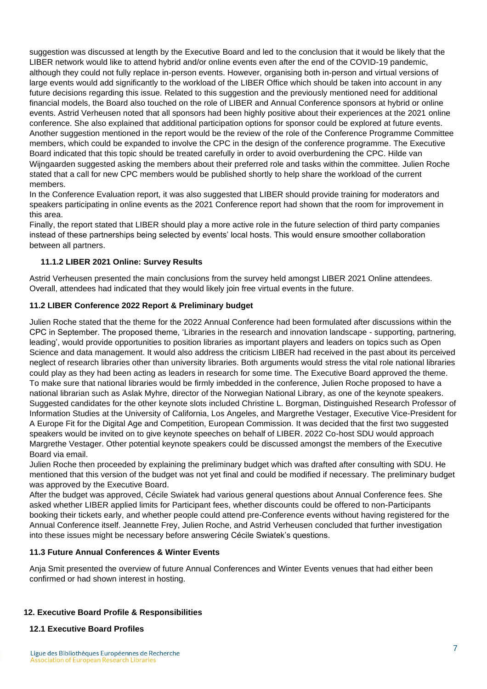suggestion was discussed at length by the Executive Board and led to the conclusion that it would be likely that the LIBER network would like to attend hybrid and/or online events even after the end of the COVID-19 pandemic, although they could not fully replace in-person events. However, organising both in-person and virtual versions of large events would add significantly to the workload of the LIBER Office which should be taken into account in any future decisions regarding this issue. Related to this suggestion and the previously mentioned need for additional financial models, the Board also touched on the role of LIBER and Annual Conference sponsors at hybrid or online events. Astrid Verheusen noted that all sponsors had been highly positive about their experiences at the 2021 online conference. She also explained that additional participation options for sponsor could be explored at future events. Another suggestion mentioned in the report would be the review of the role of the Conference Programme Committee members, which could be expanded to involve the CPC in the design of the conference programme. The Executive Board indicated that this topic should be treated carefully in order to avoid overburdening the CPC. Hilde van Wijngaarden suggested asking the members about their preferred role and tasks within the committee. Julien Roche stated that a call for new CPC members would be published shortly to help share the workload of the current members.

In the Conference Evaluation report, it was also suggested that LIBER should provide training for moderators and speakers participating in online events as the 2021 Conference report had shown that the room for improvement in this area.

Finally, the report stated that LIBER should play a more active role in the future selection of third party companies instead of these partnerships being selected by events' local hosts. This would ensure smoother collaboration between all partners.

## **11.1.2 LIBER 2021 Online: Survey Results**

Astrid Verheusen presented the main conclusions from the survey held amongst LIBER 2021 Online attendees. Overall, attendees had indicated that they would likely join free virtual events in the future.

### **11.2 LIBER Conference 2022 Report & Preliminary budget**

Julien Roche stated that the theme for the 2022 Annual Conference had been formulated after discussions within the CPC in September. The proposed theme, 'Libraries in the research and innovation landscape - supporting, partnering, leading', would provide opportunities to position libraries as important players and leaders on topics such as Open Science and data management. It would also address the criticism LIBER had received in the past about its perceived neglect of research libraries other than university libraries. Both arguments would stress the vital role national libraries could play as they had been acting as leaders in research for some time. The Executive Board approved the theme. To make sure that national libraries would be firmly imbedded in the conference, Julien Roche proposed to have a national librarian such as Aslak Myhre, director of the Norwegian National Library, as one of the keynote speakers. Suggested candidates for the other keynote slots included Christine L. Borgman, Distinguished Research Professor of Information Studies at the University of California, Los Angeles, and Margrethe Vestager, Executive Vice-President for A Europe Fit for the Digital Age and Competition, European Commission. It was decided that the first two suggested speakers would be invited on to give keynote speeches on behalf of LIBER. 2022 Co-host SDU would approach Margrethe Vestager. Other potential keynote speakers could be discussed amongst the members of the Executive Board via email.

Julien Roche then proceeded by explaining the preliminary budget which was drafted after consulting with SDU. He mentioned that this version of the budget was not yet final and could be modified if necessary. The preliminary budget was approved by the Executive Board.

After the budget was approved, Cécile Swiatek had various general questions about Annual Conference fees. She asked whether LIBER applied limits for Participant fees, whether discounts could be offered to non-Participants booking their tickets early, and whether people could attend pre-Conference events without having registered for the Annual Conference itself. Jeannette Frey, Julien Roche, and Astrid Verheusen concluded that further investigation into these issues might be necessary before answering Cécile Swiatek's questions.

## **11.3 Future Annual Conferences & Winter Events**

Anja Smit presented the overview of future Annual Conferences and Winter Events venues that had either been confirmed or had shown interest in hosting.

# **12. Executive Board Profile & Responsibilities**

### **12.1 Executive Board Profiles**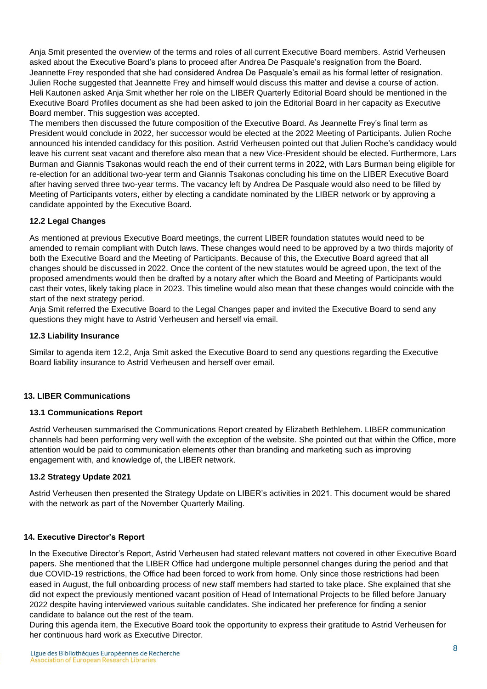Anja Smit presented the overview of the terms and roles of all current Executive Board members. Astrid Verheusen asked about the Executive Board's plans to proceed after Andrea De Pasquale's resignation from the Board. Jeannette Frey responded that she had considered Andrea De Pasquale's email as his formal letter of resignation. Julien Roche suggested that Jeannette Frey and himself would discuss this matter and devise a course of action. Heli Kautonen asked Anja Smit whether her role on the LIBER Quarterly Editorial Board should be mentioned in the Executive Board Profiles document as she had been asked to join the Editorial Board in her capacity as Executive Board member. This suggestion was accepted.

The members then discussed the future composition of the Executive Board. As Jeannette Frey's final term as President would conclude in 2022, her successor would be elected at the 2022 Meeting of Participants. Julien Roche announced his intended candidacy for this position. Astrid Verheusen pointed out that Julien Roche's candidacy would leave his current seat vacant and therefore also mean that a new Vice-President should be elected. Furthermore, Lars Burman and Giannis Tsakonas would reach the end of their current terms in 2022, with Lars Burman being eligible for re-election for an additional two-year term and Giannis Tsakonas concluding his time on the LIBER Executive Board after having served three two-year terms. The vacancy left by Andrea De Pasquale would also need to be filled by Meeting of Participants voters, either by electing a candidate nominated by the LIBER network or by approving a candidate appointed by the Executive Board.

## **12.2 Legal Changes**

As mentioned at previous Executive Board meetings, the current LIBER foundation statutes would need to be amended to remain compliant with Dutch laws. These changes would need to be approved by a two thirds majority of both the Executive Board and the Meeting of Participants. Because of this, the Executive Board agreed that all changes should be discussed in 2022. Once the content of the new statutes would be agreed upon, the text of the proposed amendments would then be drafted by a notary after which the Board and Meeting of Participants would cast their votes, likely taking place in 2023. This timeline would also mean that these changes would coincide with the start of the next strategy period.

Anja Smit referred the Executive Board to the Legal Changes paper and invited the Executive Board to send any questions they might have to Astrid Verheusen and herself via email.

### **12.3 Liability Insurance**

Similar to agenda item 12.2, Anja Smit asked the Executive Board to send any questions regarding the Executive Board liability insurance to Astrid Verheusen and herself over email.

### **13. LIBER Communications**

### **13.1 Communications Report**

Astrid Verheusen summarised the Communications Report created by Elizabeth Bethlehem. LIBER communication channels had been performing very well with the exception of the website. She pointed out that within the Office, more attention would be paid to communication elements other than branding and marketing such as improving engagement with, and knowledge of, the LIBER network.

### **13.2 Strategy Update 2021**

Astrid Verheusen then presented the Strategy Update on LIBER's activities in 2021. This document would be shared with the network as part of the November Quarterly Mailing.

### **14. Executive Director's Report**

In the Executive Director's Report, Astrid Verheusen had stated relevant matters not covered in other Executive Board papers. She mentioned that the LIBER Office had undergone multiple personnel changes during the period and that due COVID-19 restrictions, the Office had been forced to work from home. Only since those restrictions had been eased in August, the full onboarding process of new staff members had started to take place. She explained that she did not expect the previously mentioned vacant position of Head of International Projects to be filled before January 2022 despite having interviewed various suitable candidates. She indicated her preference for finding a senior candidate to balance out the rest of the team.

During this agenda item, the Executive Board took the opportunity to express their gratitude to Astrid Verheusen for her continuous hard work as Executive Director.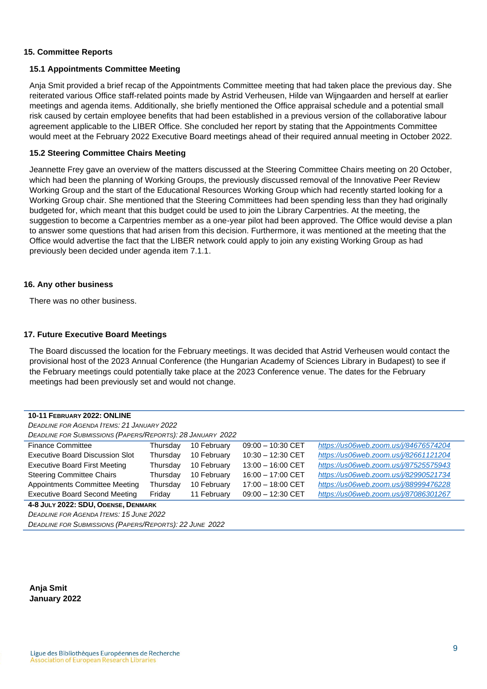#### **15. Committee Reports**

#### **15.1 Appointments Committee Meeting**

Anja Smit provided a brief recap of the Appointments Committee meeting that had taken place the previous day. She reiterated various Office staff-related points made by Astrid Verheusen, Hilde van Wijngaarden and herself at earlier meetings and agenda items. Additionally, she briefly mentioned the Office appraisal schedule and a potential small risk caused by certain employee benefits that had been established in a previous version of the collaborative labour agreement applicable to the LIBER Office. She concluded her report by stating that the Appointments Committee would meet at the February 2022 Executive Board meetings ahead of their required annual meeting in October 2022.

#### **15.2 Steering Committee Chairs Meeting**

Jeannette Frey gave an overview of the matters discussed at the Steering Committee Chairs meeting on 20 October, which had been the planning of Working Groups, the previously discussed removal of the Innovative Peer Review Working Group and the start of the Educational Resources Working Group which had recently started looking for a Working Group chair. She mentioned that the Steering Committees had been spending less than they had originally budgeted for, which meant that this budget could be used to join the Library Carpentries. At the meeting, the suggestion to become a Carpentries member as a one-year pilot had been approved. The Office would devise a plan to answer some questions that had arisen from this decision. Furthermore, it was mentioned at the meeting that the Office would advertise the fact that the LIBER network could apply to join any existing Working Group as had previously been decided under agenda item 7.1.1.

#### **16. Any other business**

There was no other business.

#### **17. Future Executive Board Meetings**

The Board discussed the location for the February meetings. It was decided that Astrid Verheusen would contact the provisional host of the 2023 Annual Conference (the Hungarian Academy of Sciences Library in Budapest) to see if the February meetings could potentially take place at the 2023 Conference venue. The dates for the February meetings had been previously set and would not change.

| 10-11 FEBRUARY 2022: ONLINE                                |          |             |                     |                                       |  |  |  |
|------------------------------------------------------------|----------|-------------|---------------------|---------------------------------------|--|--|--|
| <b>DEADLINE FOR AGENDA ITEMS: 21 JANUARY 2022</b>          |          |             |                     |                                       |  |  |  |
| DEADLINE FOR SUBMISSIONS (PAPERS/REPORTS): 28 JANUARY 2022 |          |             |                     |                                       |  |  |  |
| <b>Finance Committee</b>                                   | Thursdav | 10 February | $09:00 - 10:30$ CET | https://us06web.zoom.us/j/84676574204 |  |  |  |
| Executive Board Discussion Slot                            | Thursday | 10 February | $10:30 - 12:30$ CET | https://us06web.zoom.us/j/82661121204 |  |  |  |
| <b>Executive Board First Meeting</b>                       | Thursday | 10 February | $13:00 - 16:00$ CET | https://us06web.zoom.us/j/87525575943 |  |  |  |
| <b>Steering Committee Chairs</b>                           | Thursday | 10 February | $16:00 - 17:00$ CET | https://us06web.zoom.us/j/82990521734 |  |  |  |
| <b>Appointments Committee Meeting</b>                      | Thursday | 10 February | $17:00 - 18:00$ CET | https://us06web.zoom.us/j/88999476228 |  |  |  |
| <b>Executive Board Second Meeting</b>                      | Friday   | 11 February | $09:00 - 12:30$ CET | https://us06web.zoom.us/j/87086301267 |  |  |  |
| $1.0 \text{ km} \times 2022.$ CDU Opener Drumans           |          |             |                     |                                       |  |  |  |

**4-8 JULY 2022: SDU, ODENSE, DENMARK**

*DEADLINE FOR AGENDA ITEMS: 15 JUNE 2022*

*DEADLINE FOR SUBMISSIONS (PAPERS/REPORTS): 22 JUNE 2022*

**Anja Smit January 2022**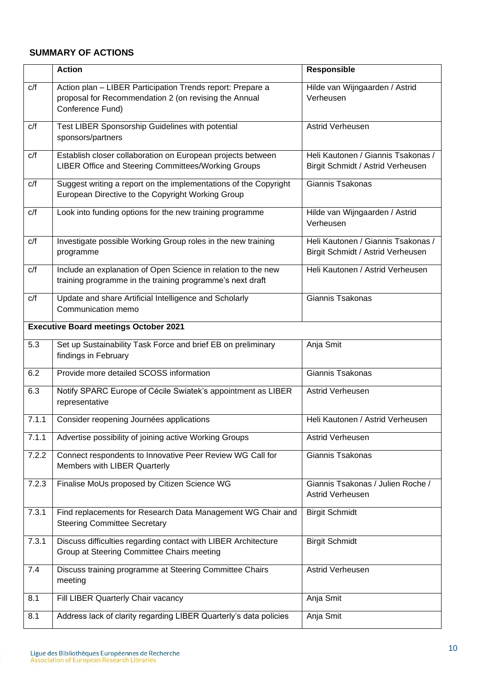# **SUMMARY OF ACTIONS**

|                                              | <b>Action</b>                                                                                                                           | Responsible                                                             |  |  |
|----------------------------------------------|-----------------------------------------------------------------------------------------------------------------------------------------|-------------------------------------------------------------------------|--|--|
| C/f                                          | Action plan - LIBER Participation Trends report: Prepare a<br>proposal for Recommendation 2 (on revising the Annual<br>Conference Fund) | Hilde van Wijngaarden / Astrid<br>Verheusen                             |  |  |
| c/f                                          | Test LIBER Sponsorship Guidelines with potential<br>sponsors/partners                                                                   | Astrid Verheusen                                                        |  |  |
| C/f                                          | Establish closer collaboration on European projects between<br>LIBER Office and Steering Committees/Working Groups                      | Heli Kautonen / Giannis Tsakonas /<br>Birgit Schmidt / Astrid Verheusen |  |  |
| c/f                                          | Suggest writing a report on the implementations of the Copyright<br>European Directive to the Copyright Working Group                   | Giannis Tsakonas                                                        |  |  |
| C/f                                          | Look into funding options for the new training programme                                                                                | Hilde van Wijngaarden / Astrid<br>Verheusen                             |  |  |
| C/f                                          | Investigate possible Working Group roles in the new training<br>programme                                                               | Heli Kautonen / Giannis Tsakonas /<br>Birgit Schmidt / Astrid Verheusen |  |  |
| C/f                                          | Include an explanation of Open Science in relation to the new<br>training programme in the training programme's next draft              | Heli Kautonen / Astrid Verheusen                                        |  |  |
| C/f                                          | Update and share Artificial Intelligence and Scholarly<br>Communication memo                                                            | Giannis Tsakonas                                                        |  |  |
| <b>Executive Board meetings October 2021</b> |                                                                                                                                         |                                                                         |  |  |
| 5.3                                          | Set up Sustainability Task Force and brief EB on preliminary<br>findings in February                                                    | Anja Smit                                                               |  |  |
| 6.2                                          | Provide more detailed SCOSS information                                                                                                 | Giannis Tsakonas                                                        |  |  |
| 6.3                                          | Notify SPARC Europe of Cécile Swiatek's appointment as LIBER<br>representative                                                          | Astrid Verheusen                                                        |  |  |
| 7.1.1                                        | Consider reopening Journées applications                                                                                                | Heli Kautonen / Astrid Verheusen                                        |  |  |
| 7.1.1                                        | Advertise possibility of joining active Working Groups                                                                                  | Astrid Verheusen                                                        |  |  |
| 7.2.2                                        | Connect respondents to Innovative Peer Review WG Call for<br>Members with LIBER Quarterly                                               | Giannis Tsakonas                                                        |  |  |
| 7.2.3                                        | Finalise MoUs proposed by Citizen Science WG                                                                                            | Giannis Tsakonas / Julien Roche /<br>Astrid Verheusen                   |  |  |
| 7.3.1                                        | Find replacements for Research Data Management WG Chair and<br><b>Steering Committee Secretary</b>                                      | <b>Birgit Schmidt</b>                                                   |  |  |
| 7.3.1                                        | Discuss difficulties regarding contact with LIBER Architecture<br>Group at Steering Committee Chairs meeting                            | <b>Birgit Schmidt</b>                                                   |  |  |
| 7.4                                          | Discuss training programme at Steering Committee Chairs<br>meeting                                                                      | Astrid Verheusen                                                        |  |  |
| 8.1                                          | Fill LIBER Quarterly Chair vacancy                                                                                                      | Anja Smit                                                               |  |  |
| 8.1                                          | Address lack of clarity regarding LIBER Quarterly's data policies                                                                       | Anja Smit                                                               |  |  |